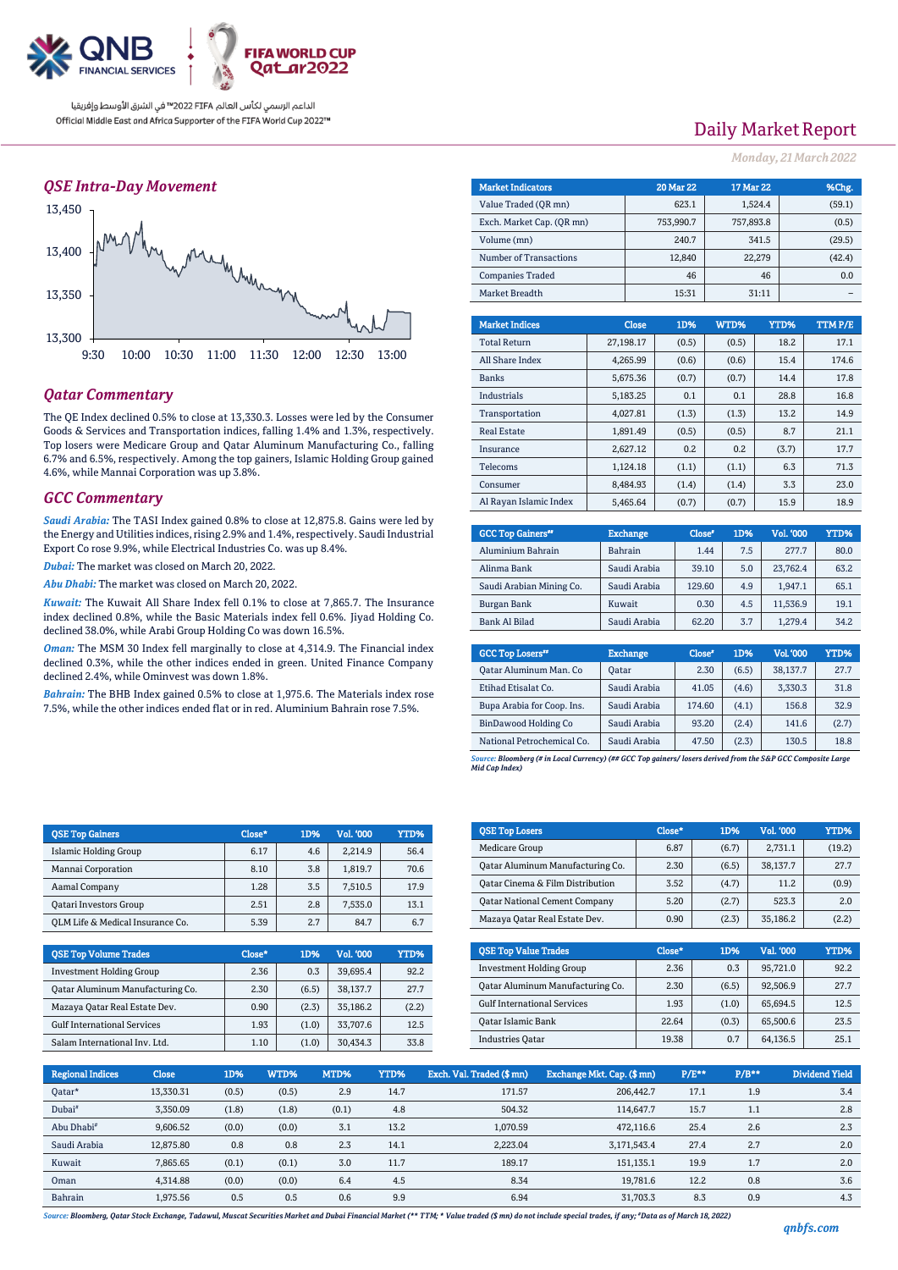

## *QSE Intra-Day Movement*



## *Qatar Commentary*

The QE Index declined 0.5% to close at 13,330.3. Losses were led by the Consumer Goods & Services and Transportation indices, falling 1.4% and 1.3%, respectively. Top losers were Medicare Group and Qatar Aluminum Manufacturing Co., falling 6.7% and 6.5%, respectively. Among the top gainers, Islamic Holding Group gained 4.6%, while Mannai Corporation was up 3.8%.

### *GCC Commentary*

*Saudi Arabia:* The TASI Index gained 0.8% to close at 12,875.8. Gains were led by the Energy and Utilities indices, rising 2.9% and 1.4%, respectively. Saudi Industrial Export Co rose 9.9%, while Electrical Industries Co. was up 8.4%.

*Dubai:* The market was closed on March 20, 2022.

*Abu Dhabi:* The market was closed on March 20, 2022.

*Kuwait:* The Kuwait All Share Index fell 0.1% to close at 7,865.7. The Insurance index declined 0.8%, while the Basic Materials index fell 0.6%. Jiyad Holding Co. declined 38.0%, while Arabi Group Holding Co was down 16.5%.

*Oman:* The MSM 30 Index fell marginally to close at 4,314.9. The Financial index declined 0.3%, while the other indices ended in green. United Finance Company declined 2.4%, while Ominvest was down 1.8%.

*Bahrain:* The BHB Index gained 0.5% to close at 1,975.6. The Materials index rose 7.5%, while the other indices ended flat or in red. Aluminium Bahrain rose 7.5%.

| Daily Market Report |  |  |
|---------------------|--|--|
|                     |  |  |

*Monday, 21March2022*

| <b>Market Indicators</b>  |  |           | <b>20 Mar 22</b> | 17 Mar 22 |         |        | %Chg.         |
|---------------------------|--|-----------|------------------|-----------|---------|--------|---------------|
| Value Traded (OR mn)      |  |           | 623.1            |           | 1.524.4 |        | (59.1)        |
| Exch. Market Cap. (QR mn) |  |           | 753,990.7        | 757,893.8 |         |        | (0.5)         |
| Volume (mn)               |  |           | 240.7            |           | 341.5   |        | (29.5)        |
| Number of Transactions    |  |           | 12,840           |           | 22,279  | (42.4) |               |
| <b>Companies Traded</b>   |  |           | 46               |           | 46      |        | 0.0           |
| Market Breadth            |  |           | 15:31            |           | 31:11   |        |               |
|                           |  |           |                  |           |         |        |               |
| <b>Market Indices</b>     |  | Close     | 1D%              | WTD%      | YTD%    |        | <b>TTMP/E</b> |
| <b>Total Return</b>       |  | 27.198.17 | (0.5)            | (0.5)     |         | 18.2   | 17.1          |

| <b>Total Return</b>    | 27.198.17 | (0.5) | (0.5) | 18.2  | 17.1  |
|------------------------|-----------|-------|-------|-------|-------|
| All Share Index        | 4.265.99  | (0.6) | (0.6) | 15.4  | 174.6 |
| <b>Banks</b>           | 5,675.36  | (0.7) | (0.7) | 14.4  | 17.8  |
| Industrials            | 5,183.25  | 0.1   | 0.1   | 28.8  | 16.8  |
| Transportation         | 4,027.81  | (1.3) | (1.3) | 13.2  | 14.9  |
| <b>Real Estate</b>     | 1.891.49  | (0.5) | (0.5) | 8.7   | 21.1  |
| Insurance              | 2.627.12  | 0.2   | 0.2   | (3.7) | 17.7  |
| Telecoms               | 1,124.18  | (1.1) | (1.1) | 6.3   | 71.3  |
| Consumer               | 8.484.93  | (1.4) | (1.4) | 3.3   | 23.0  |
| Al Ravan Islamic Index | 5.465.64  | (0.7) | (0.7) | 15.9  | 18.9  |

| <b>GCC Top Gainers</b> " | <b>Exchange</b> | Close* | 1D% | Vol. '000 | YTD% |
|--------------------------|-----------------|--------|-----|-----------|------|
| Aluminium Bahrain        | Bahrain         | 1.44   | 7.5 | 277.7     | 80.0 |
| Alinma Bank              | Saudi Arabia    | 39.10  | 5.0 | 23,762.4  | 63.2 |
| Saudi Arabian Mining Co. | Saudi Arabia    | 129.60 | 4.9 | 1.947.1   | 65.1 |
| Burgan Bank              | Kuwait          | 0.30   | 4.5 | 11.536.9  | 19.1 |
| <b>Bank Al Bilad</b>     | Saudi Arabia    | 62.20  | 3.7 | 1.279.4   | 34.2 |
|                          |                 |        |     |           |      |

| <b>GCC Top Losers</b> "    | <b>Exchange</b> | Close <sup>®</sup> | 1D%   | <b>Vol.'000</b> | YTD%  |
|----------------------------|-----------------|--------------------|-------|-----------------|-------|
| Qatar Aluminum Man. Co     | <b>Oatar</b>    | 2.30               | (6.5) | 38.137.7        | 27.7  |
| Etihad Etisalat Co.        | Saudi Arabia    | 41.05              | (4.6) | 3,330.3         | 31.8  |
| Bupa Arabia for Coop. Ins. | Saudi Arabia    | 174.60             | (4.1) | 156.8           | 32.9  |
| BinDawood Holding Co       | Saudi Arabia    | 93.20              | (2.4) | 141.6           | (2.7) |
| National Petrochemical Co. | Saudi Arabia    | 47.50              | (2.3) | 130.5           | 18.8  |

*Source: Bloomberg (# in Local Currency) (## GCC Top gainers/ losers derived from the S&P GCC Composite Large Mid Cap Index)*

| <b>QSE Top Gainers</b>           | Close* | 1D% | Vol. '000 | <b>YTD%</b> |
|----------------------------------|--------|-----|-----------|-------------|
| <b>Islamic Holding Group</b>     | 6.17   | 4.6 | 2.214.9   | 56.4        |
| Mannai Corporation               | 8.10   | 3.8 | 1.819.7   | 70.6        |
| Aamal Company                    | 1.28   | 3.5 | 7,510.5   | 17.9        |
| <b>Qatari Investors Group</b>    | 2.51   | 2.8 | 7,535.0   | 13.1        |
| QLM Life & Medical Insurance Co. | 5.39   | 2.7 | 84.7      | 6.7         |
|                                  |        |     |           |             |

| <b>OSE Top Volume Trades</b>       | Close* | 1D%   | Vol. '000 | YTD%  |
|------------------------------------|--------|-------|-----------|-------|
| <b>Investment Holding Group</b>    | 2.36   | 0.3   | 39.695.4  | 92.2  |
| Oatar Aluminum Manufacturing Co.   | 2.30   | (6.5) | 38.137.7  | 27.7  |
| Mazaya Qatar Real Estate Dev.      | 0.90   | (2.3) | 35.186.2  | (2.2) |
| <b>Gulf International Services</b> | 1.93   | (1.0) | 33.707.6  | 12.5  |
| Salam International Inv. Ltd.      | 1.10   | (1.0) | 30.434.3  | 33.8  |

| <b>OSE Top Losers</b>                | Close* | 1D%   | Vol. '000 | YTD%   |
|--------------------------------------|--------|-------|-----------|--------|
| Medicare Group                       | 6.87   | (6.7) | 2.731.1   | (19.2) |
| Qatar Aluminum Manufacturing Co.     | 2.30   | (6.5) | 38.137.7  | 27.7   |
| Qatar Cinema & Film Distribution     | 3.52   | (4.7) | 11.2      | (0.9)  |
| <b>Qatar National Cement Company</b> | 5.20   | (2.7) | 523.3     | 2.0    |
| Mazaya Qatar Real Estate Dev.        | 0.90   | (2.3) | 35,186.2  | (2.2)  |

| <b>OSE Top Value Trades</b>        | Close* | 1D%   | Val. '000 | YTD% |
|------------------------------------|--------|-------|-----------|------|
| <b>Investment Holding Group</b>    | 2.36   | 0.3   | 95,721.0  | 92.2 |
| Oatar Aluminum Manufacturing Co.   | 2.30   | (6.5) | 92,506.9  | 27.7 |
| <b>Gulf International Services</b> | 1.93   | (1.0) | 65.694.5  | 12.5 |
| Qatar Islamic Bank                 | 22.64  | (0.3) | 65,500.6  | 23.5 |
| <b>Industries Oatar</b>            | 19.38  | 0.7   | 64,136.5  | 25.1 |

| <b>Regional Indices</b> | <b>Close</b> | 1D%   | WTD%  | MTD%  | YTD% | Exch. Val. Traded (\$ mn) | Exchange Mkt. Cap. (\$mn) | $P/E**$ | $P/B**$ | Dividend Yield |
|-------------------------|--------------|-------|-------|-------|------|---------------------------|---------------------------|---------|---------|----------------|
| Oatar*                  | 13,330.31    | (0.5) | (0.5) | 2.9   | 14.7 | 171.57                    | 206,442.7                 | 17.1    | 1.9     | 3.4            |
| Dubai <sup>#</sup>      | 3,350.09     | (1.8) | (1.8) | (0.1) | 4.8  | 504.32                    | 114.647.7                 | 15.7    | 1.1     | 2.8            |
| Abu Dhabi <sup>#</sup>  | 9.606.52     | (0.0) | (0.0) | 3.1   | 13.2 | 1.070.59                  | 472.116.6                 | 25.4    | 2.6     | 2.3            |
| Saudi Arabia            | 12.875.80    | 0.8   | 0.8   | 2.3   | 14.1 | 2,223.04                  | 3,171,543.4               | 27.4    | 2.7     | 2.0            |
| Kuwait                  | 7.865.65     | (0.1) | (0.1) | 3.0   | 11.7 | 189.17                    | 151,135.1                 | 19.9    | 1.7     | 2.0            |
| Oman                    | 4,314.88     | (0.0) | (0.0) | 6.4   | 4.5  | 8.34                      | 19.781.6                  | 12.2    | 0.8     | 3.6            |
| Bahrain                 | 1.975.56     | 0.5   | 0.5   | 0.6   | 9.9  | 6.94                      | 31.703.3                  | 8.3     | 0.9     | 4.3            |

*Source: Bloomberg, Qatar Stock Exchange, Tadawul, Muscat Securities Market and Dubai Financial Market (\*\* TTM; \* Value traded (\$ mn) do not include special trades, if any; #Data as of March 18, 2022)*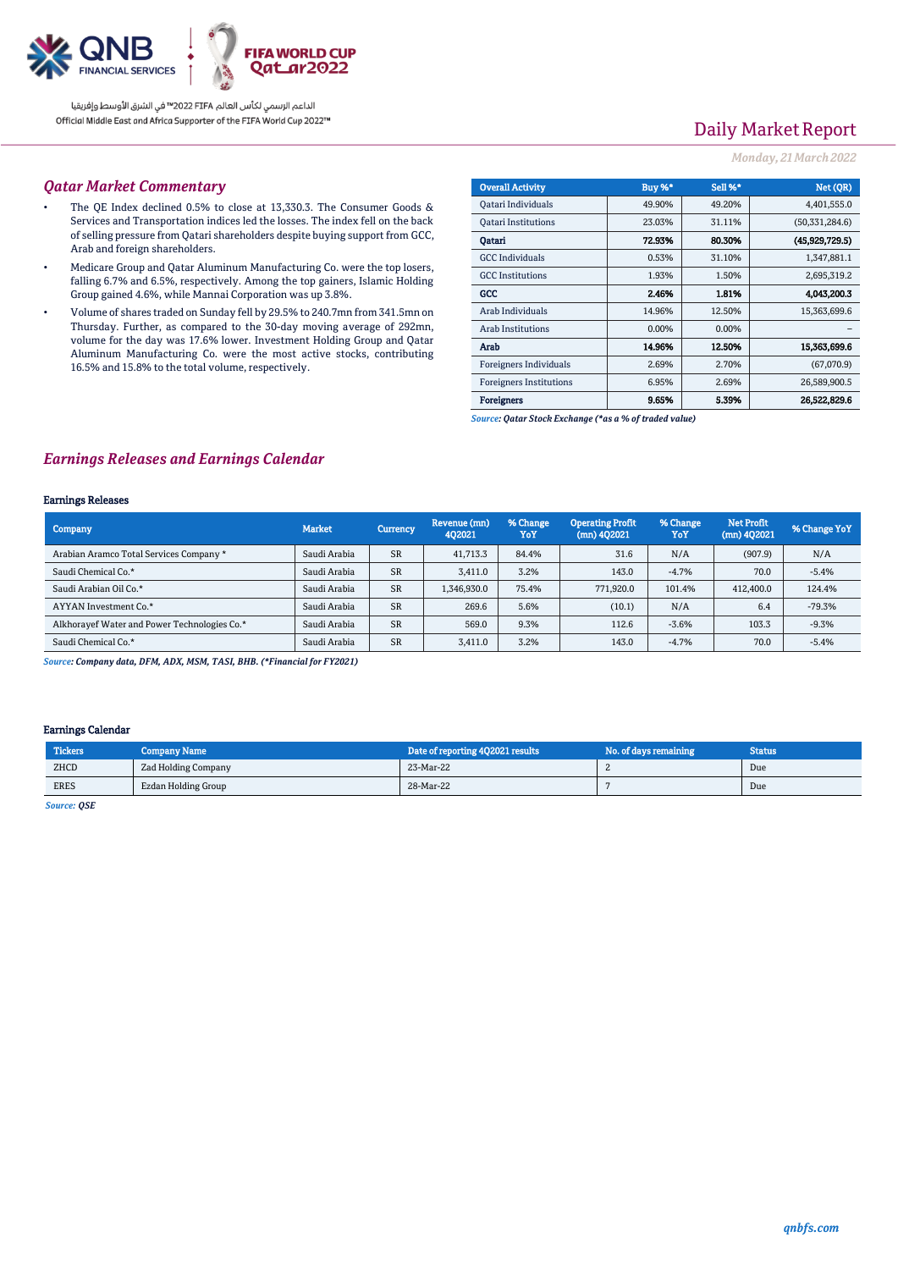

# Daily Market Report

### *Monday, 21March2022*

### *Qatar Market Commentary*

- The QE Index declined 0.5% to close at 13,330.3. The Consumer Goods & Services and Transportation indices led the losses. The index fell on the back of selling pressure from Qatari shareholders despite buying support from GCC, Arab and foreign shareholders.
- Medicare Group and Qatar Aluminum Manufacturing Co. were the top losers, falling 6.7% and 6.5%, respectively. Among the top gainers, Islamic Holding Group gained 4.6%, while Mannai Corporation was up 3.8%.
- Volume of shares traded on Sunday fell by 29.5% to 240.7mn from 341.5mn on Thursday. Further, as compared to the 30-day moving average of 292mn, volume for the day was 17.6% lower. Investment Holding Group and Qatar Aluminum Manufacturing Co. were the most active stocks, contributing 16.5% and 15.8% to the total volume, respectively.

| <b>Overall Activity</b>        | Buy %* | <b>Sell %*</b> | Net (QR)         |
|--------------------------------|--------|----------------|------------------|
| Qatari Individuals             | 49.90% | 49.20%         | 4,401,555.0      |
| <b>Oatari Institutions</b>     | 23.03% | 31.11%         | (50, 331, 284.6) |
| Oatari                         | 72.93% | 80.30%         | (45.929.729.5)   |
| <b>GCC</b> Individuals         | 0.53%  | 31.10%         | 1,347,881.1      |
| <b>GCC</b> Institutions        | 1.93%  | 1.50%          | 2,695,319.2      |
| GCC                            | 2.46%  | 1.81%          | 4.043.200.3      |
| Arab Individuals               | 14.96% | 12.50%         | 15,363,699.6     |
| <b>Arab Institutions</b>       | 0.00%  | 0.00%          |                  |
| Arab                           | 14.96% | 12.50%         | 15,363,699.6     |
| Foreigners Individuals         | 2.69%  | 2.70%          | (67,070.9)       |
| <b>Foreigners Institutions</b> | 6.95%  | 2.69%          | 26,589,900.5     |
| <b>Foreigners</b>              | 9.65%  | 5.39%          | 26.522.829.6     |

*Source: Qatar Stock Exchange (\*as a % of traded value)*

### *Earnings Releases and Earnings Calendar*

#### Earnings Releases

| Company                                      | <b>Market</b> | <b>Currency</b> | Revenue (mn)<br>402021 | % Change<br>YoY | <b>Operating Profit</b><br>$(mn)$ 402021 | % Change<br>YoY | <b>Net Profit</b><br>$(mn)$ 402021 | % Change YoY |
|----------------------------------------------|---------------|-----------------|------------------------|-----------------|------------------------------------------|-----------------|------------------------------------|--------------|
| Arabian Aramco Total Services Company *      | Saudi Arabia  | <b>SR</b>       | 41,713.3               | 84.4%           | 31.6                                     | N/A             | (907.9)                            | N/A          |
| Saudi Chemical Co.*                          | Saudi Arabia  | <b>SR</b>       | 3.411.0                | 3.2%            | 143.0                                    | $-4.7%$         | 70.0                               | $-5.4%$      |
| Saudi Arabian Oil Co.*                       | Saudi Arabia  | <b>SR</b>       | 1,346,930.0            | 75.4%           | 771.920.0                                | 101.4%          | 412,400.0                          | 124.4%       |
| AYYAN Investment Co.*                        | Saudi Arabia  | <b>SR</b>       | 269.6                  | 5.6%            | (10.1)                                   | N/A             | 6.4                                | $-79.3%$     |
| Alkhoravef Water and Power Technologies Co.* | Saudi Arabia  | <b>SR</b>       | 569.0                  | 9.3%            | 112.6                                    | $-3.6%$         | 103.3                              | $-9.3%$      |
| Saudi Chemical Co.*                          | Saudi Arabia  | <b>SR</b>       | 3.411.0                | 3.2%            | 143.0                                    | $-4.7%$         | 70.0                               | $-5.4%$      |

*Source: Company data, DFM, ADX, MSM, TASI, BHB. (\*Financial for FY2021)*

### Earnings Calendar

| <b>Tickers</b> | <b>Company Name</b> | Date of reporting 4Q2021 results | No. of days remaining | <b>Status</b> |
|----------------|---------------------|----------------------------------|-----------------------|---------------|
| ZHCD           | Zad Holding Company | 23-Mar-22                        |                       | Due           |
| <b>ERES</b>    | Ezdan Holding Group | 28-Mar-22                        |                       | Due           |

*Source: QSE*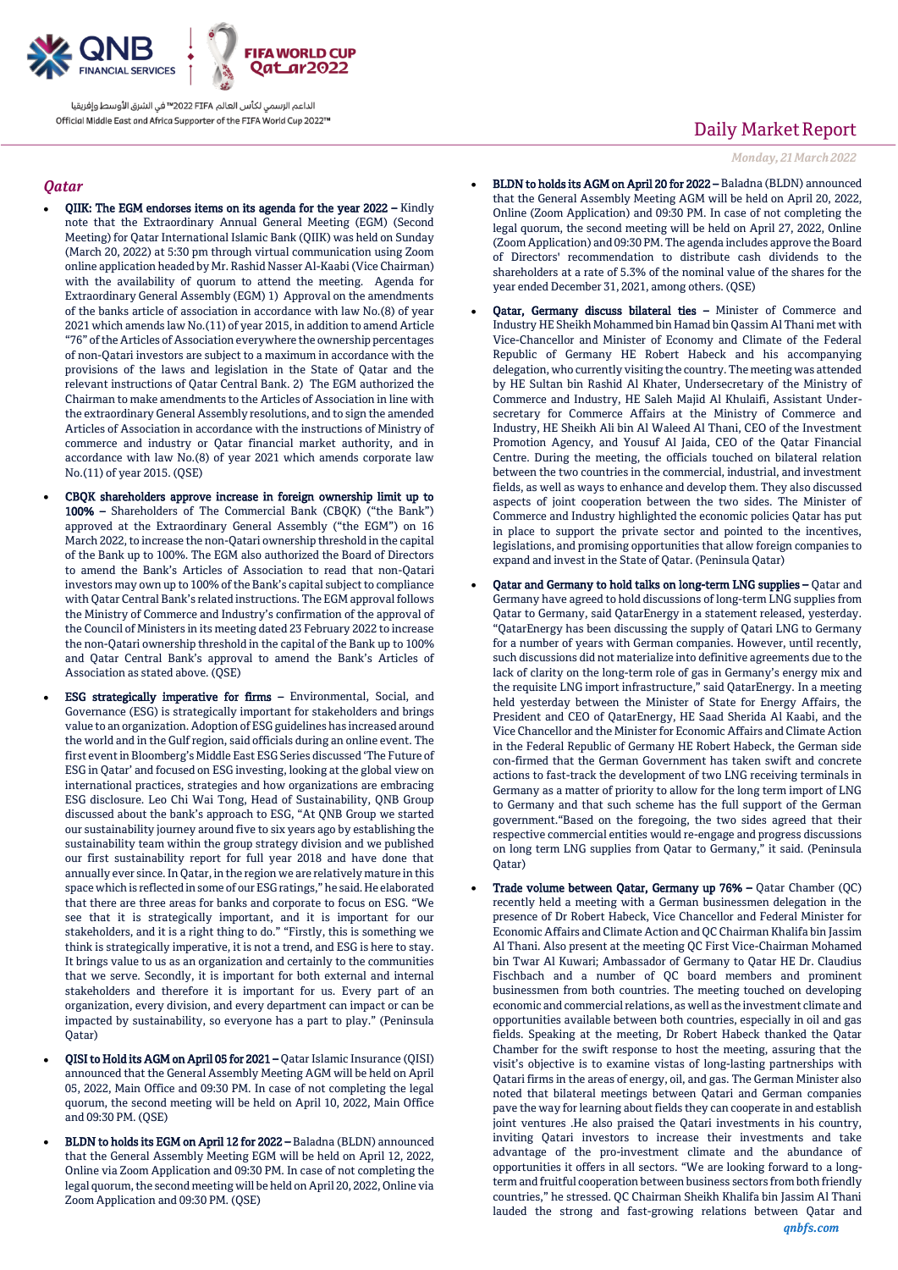

### *Qatar*

- QIIK: The EGM endorses items on its agenda for the year 2022 Kindly note that the Extraordinary Annual General Meeting (EGM) (Second Meeting) for Qatar International Islamic Bank (QIIK) was held on Sunday (March 20, 2022) at 5:30 pm through virtual communication using Zoom online application headed by Mr. Rashid Nasser Al-Kaabi (Vice Chairman) with the availability of quorum to attend the meeting. Agenda for Extraordinary General Assembly (EGM) 1) Approval on the amendments of the banks article of association in accordance with law No.(8) of year 2021 which amends law No.(11) of year 2015, in addition to amend Article "76" of the Articles of Association everywhere the ownership percentages of non-Qatari investors are subject to a maximum in accordance with the provisions of the laws and legislation in the State of Qatar and the relevant instructions of Qatar Central Bank. 2) The EGM authorized the Chairman to make amendments to the Articles of Association in line with the extraordinary General Assembly resolutions, and to sign the amended Articles of Association in accordance with the instructions of Ministry of commerce and industry or Qatar financial market authority, and in accordance with law No.(8) of year 2021 which amends corporate law No.(11) of year 2015. (QSE)
- CBQK shareholders approve increase in foreign ownership limit up to 100% – Shareholders of The Commercial Bank (CBQK) ("the Bank") approved at the Extraordinary General Assembly ("the EGM") on 16 March 2022, to increase the non-Qatari ownership threshold in the capital of the Bank up to 100%. The EGM also authorized the Board of Directors to amend the Bank's Articles of Association to read that non-Qatari investors may own up to 100% of the Bank's capital subject to compliance with Qatar Central Bank's related instructions. The EGM approval follows the Ministry of Commerce and Industry's confirmation of the approval of the Council of Ministers in its meeting dated 23 February 2022 to increase the non-Qatari ownership threshold in the capital of the Bank up to 100% and Qatar Central Bank's approval to amend the Bank's Articles of Association as stated above. (QSE)
- ESG strategically imperative for firms Environmental, Social, and Governance (ESG) is strategically important for stakeholders and brings value to an organization. Adoption of ESG guidelines has increased around the world and in the Gulf region, said officials during an online event. The first event in Bloomberg's Middle East ESG Series discussed 'The Future of ESG in Qatar' and focused on ESG investing, looking at the global view on international practices, strategies and how organizations are embracing ESG disclosure. Leo Chi Wai Tong, Head of Sustainability, QNB Group discussed about the bank's approach to ESG, "At QNB Group we started our sustainability journey around five to six years ago by establishing the sustainability team within the group strategy division and we published our first sustainability report for full year 2018 and have done that annually ever since. In Qatar, in the region we are relatively mature in this space which is reflected in some of our ESG ratings," he said. He elaborated that there are three areas for banks and corporate to focus on ESG. "We see that it is strategically important, and it is important for our stakeholders, and it is a right thing to do." "Firstly, this is something we think is strategically imperative, it is not a trend, and ESG is here to stay. It brings value to us as an organization and certainly to the communities that we serve. Secondly, it is important for both external and internal stakeholders and therefore it is important for us. Every part of an organization, every division, and every department can impact or can be impacted by sustainability, so everyone has a part to play." (Peninsula Qatar)
- QISI to Hold its AGM on April 05 for 2021 Qatar Islamic Insurance (QISI) announced that the General Assembly Meeting AGM will be held on April 05, 2022, Main Office and 09:30 PM. In case of not completing the legal quorum, the second meeting will be held on April 10, 2022, Main Office and 09:30 PM. (QSE)
- BLDN to holds its EGM on April 12 for 2022 Baladna (BLDN) announced that the General Assembly Meeting EGM will be held on April 12, 2022, Online via Zoom Application and 09:30 PM. In case of not completing the legal quorum, the second meeting will be held on April 20, 2022, Online via Zoom Application and 09:30 PM. (QSE)

# Daily Market Report

*Monday, 21March2022*

- BLDN to holds its AGM on April 20 for 2022 Baladna (BLDN) announced that the General Assembly Meeting AGM will be held on April 20, 2022, Online (Zoom Application) and 09:30 PM. In case of not completing the legal quorum, the second meeting will be held on April 27, 2022, Online (Zoom Application) and 09:30 PM. The agenda includes approve the Board of Directors' recommendation to distribute cash dividends to the shareholders at a rate of 5.3% of the nominal value of the shares for the year ended December 31, 2021, among others. (QSE)
- Qatar, Germany discuss bilateral ties Minister of Commerce and Industry HE Sheikh Mohammed bin Hamad bin Qassim Al Thani met with Vice-Chancellor and Minister of Economy and Climate of the Federal Republic of Germany HE Robert Habeck and his accompanying delegation, who currently visiting the country. The meeting was attended by HE Sultan bin Rashid Al Khater, Undersecretary of the Ministry of Commerce and Industry, HE Saleh Majid Al Khulaifi, Assistant Undersecretary for Commerce Affairs at the Ministry of Commerce and Industry, HE Sheikh Ali bin Al Waleed Al Thani, CEO of the Investment Promotion Agency, and Yousuf Al Jaida, CEO of the Qatar Financial Centre. During the meeting, the officials touched on bilateral relation between the two countries in the commercial, industrial, and investment fields, as well as ways to enhance and develop them. They also discussed aspects of joint cooperation between the two sides. The Minister of Commerce and Industry highlighted the economic policies Qatar has put in place to support the private sector and pointed to the incentives, legislations, and promising opportunities that allow foreign companies to expand and invest in the State of Qatar. (Peninsula Qatar)
- Qatar and Germany to hold talks on long-term LNG supplies Qatar and Germany have agreed to hold discussions of long-term LNG supplies from Qatar to Germany, said QatarEnergy in a statement released, yesterday. "QatarEnergy has been discussing the supply of Qatari LNG to Germany for a number of years with German companies. However, until recently, such discussions did not materialize into definitive agreements due to the lack of clarity on the long-term role of gas in Germany's energy mix and the requisite LNG import infrastructure," said QatarEnergy. In a meeting held yesterday between the Minister of State for Energy Affairs, the President and CEO of QatarEnergy, HE Saad Sherida Al Kaabi, and the Vice Chancellor and the Minister for Economic Affairs and Climate Action in the Federal Republic of Germany HE Robert Habeck, the German side con-firmed that the German Government has taken swift and concrete actions to fast-track the development of two LNG receiving terminals in Germany as a matter of priority to allow for the long term import of LNG to Germany and that such scheme has the full support of the German government."Based on the foregoing, the two sides agreed that their respective commercial entities would re-engage and progress discussions on long term LNG supplies from Qatar to Germany," it said. (Peninsula Qatar)
- Trade volume between Qatar, Germany up 76% Qatar Chamber (QC) recently held a meeting with a German businessmen delegation in the presence of Dr Robert Habeck, Vice Chancellor and Federal Minister for Economic Affairs and Climate Action and QC Chairman Khalifa bin Jassim Al Thani. Also present at the meeting QC First Vice-Chairman Mohamed bin Twar Al Kuwari; Ambassador of Germany to Qatar HE Dr. Claudius Fischbach and a number of QC board members and prominent businessmen from both countries. The meeting touched on developing economic and commercial relations, as well as the investment climate and opportunities available between both countries, especially in oil and gas fields. Speaking at the meeting, Dr Robert Habeck thanked the Qatar Chamber for the swift response to host the meeting, assuring that the visit's objective is to examine vistas of long-lasting partnerships with Qatari firms in the areas of energy, oil, and gas. The German Minister also noted that bilateral meetings between Qatari and German companies pave the way for learning about fields they can cooperate in and establish joint ventures .He also praised the Qatari investments in his country, inviting Qatari investors to increase their investments and take advantage of the pro-investment climate and the abundance of opportunities it offers in all sectors. "We are looking forward to a longterm and fruitful cooperation between business sectors from both friendly countries," he stressed. QC Chairman Sheikh Khalifa bin Jassim Al Thani lauded the strong and fast-growing relations between Qatar and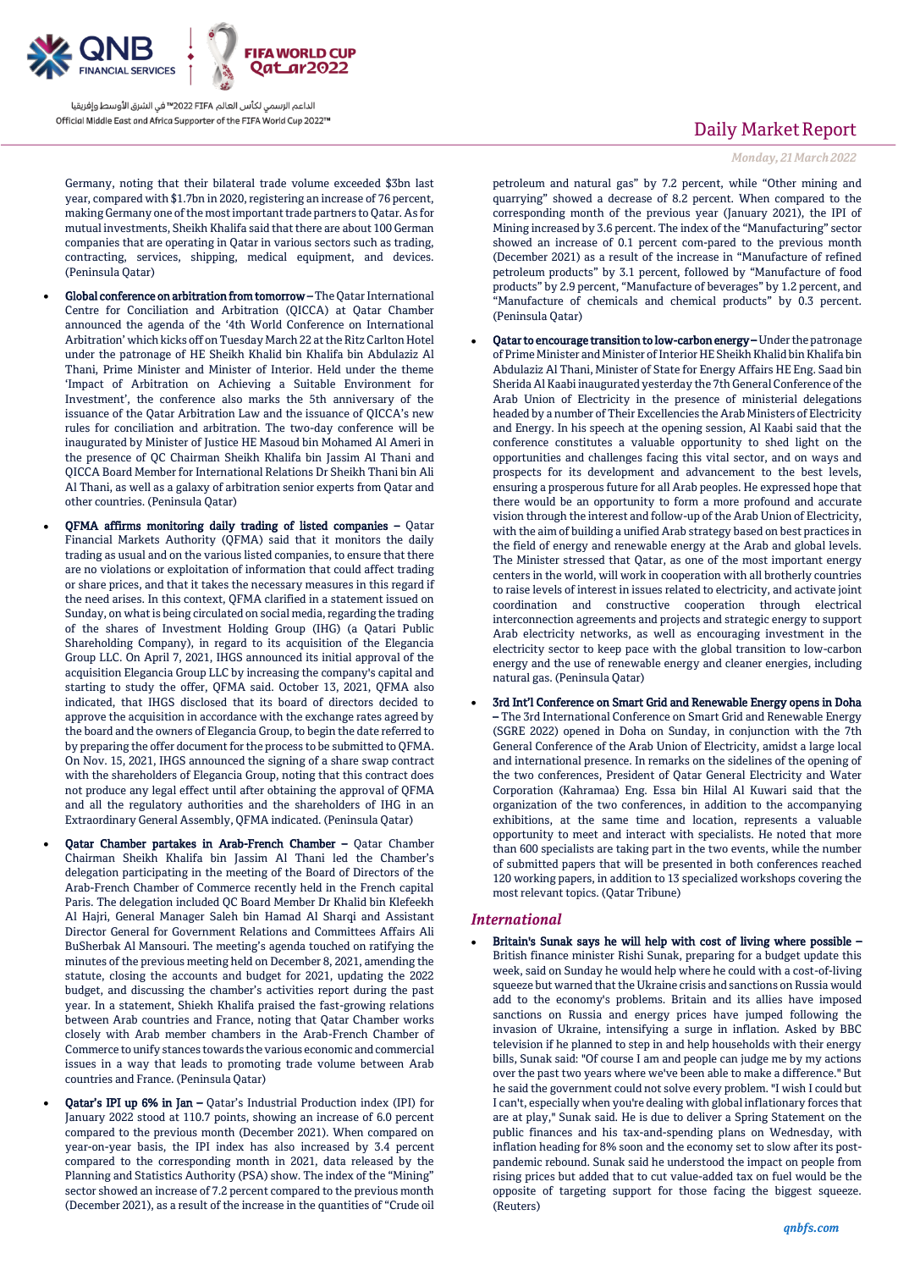

Germany, noting that their bilateral trade volume exceeded \$3bn last year, compared with \$1.7bn in 2020, registering an increase of 76 percent, making Germany one of the most important trade partners to Qatar. As for mutual investments, Sheikh Khalifa said that there are about 100 German companies that are operating in Qatar in various sectors such as trading, contracting, services, shipping, medical equipment, and devices. (Peninsula Qatar)

- Global conference on arbitration from tomorrow The Qatar International Centre for Conciliation and Arbitration (QICCA) at Qatar Chamber announced the agenda of the '4th World Conference on International Arbitration' which kicks off on Tuesday March 22 at the Ritz Carlton Hotel under the patronage of HE Sheikh Khalid bin Khalifa bin Abdulaziz Al Thani, Prime Minister and Minister of Interior. Held under the theme 'Impact of Arbitration on Achieving a Suitable Environment for Investment', the conference also marks the 5th anniversary of the issuance of the Qatar Arbitration Law and the issuance of QICCA's new rules for conciliation and arbitration. The two-day conference will be inaugurated by Minister of Justice HE Masoud bin Mohamed Al Ameri in the presence of QC Chairman Sheikh Khalifa bin Jassim Al Thani and QICCA Board Member for International Relations Dr Sheikh Thani bin Ali Al Thani, as well as a galaxy of arbitration senior experts from Qatar and other countries. (Peninsula Qatar)
- QFMA affirms monitoring daily trading of listed companies Qatar Financial Markets Authority (QFMA) said that it monitors the daily trading as usual and on the various listed companies, to ensure that there are no violations or exploitation of information that could affect trading or share prices, and that it takes the necessary measures in this regard if the need arises. In this context, QFMA clarified in a statement issued on Sunday, on what is being circulated on social media, regarding the trading of the shares of Investment Holding Group (IHG) (a Qatari Public Shareholding Company), in regard to its acquisition of the Elegancia Group LLC. On April 7, 2021, IHGS announced its initial approval of the acquisition Elegancia Group LLC by increasing the company's capital and starting to study the offer, QFMA said. October 13, 2021, QFMA also indicated, that IHGS disclosed that its board of directors decided to approve the acquisition in accordance with the exchange rates agreed by the board and the owners of Elegancia Group, to begin the date referred to by preparing the offer document for the process to be submitted to QFMA. On Nov. 15, 2021, IHGS announced the signing of a share swap contract with the shareholders of Elegancia Group, noting that this contract does not produce any legal effect until after obtaining the approval of QFMA and all the regulatory authorities and the shareholders of IHG in an Extraordinary General Assembly, QFMA indicated. (Peninsula Qatar)
- Qatar Chamber partakes in Arab-French Chamber Qatar Chamber Chairman Sheikh Khalifa bin Jassim Al Thani led the Chamber's delegation participating in the meeting of the Board of Directors of the Arab-French Chamber of Commerce recently held in the French capital Paris. The delegation included QC Board Member Dr Khalid bin Klefeekh Al Hajri, General Manager Saleh bin Hamad Al Sharqi and Assistant Director General for Government Relations and Committees Affairs Ali BuSherbak Al Mansouri. The meeting's agenda touched on ratifying the minutes of the previous meeting held on December 8, 2021, amending the statute, closing the accounts and budget for 2021, updating the 2022 budget, and discussing the chamber's activities report during the past year. In a statement, Shiekh Khalifa praised the fast-growing relations between Arab countries and France, noting that Qatar Chamber works closely with Arab member chambers in the Arab-French Chamber of Commerce to unify stances towards the various economic and commercial issues in a way that leads to promoting trade volume between Arab countries and France. (Peninsula Qatar)
- Qatar's IPI up 6% in Jan Qatar's Industrial Production index (IPI) for January 2022 stood at 110.7 points, showing an increase of 6.0 percent compared to the previous month (December 2021). When compared on year-on-year basis, the IPI index has also increased by 3.4 percent compared to the corresponding month in 2021, data released by the Planning and Statistics Authority (PSA) show. The index of the "Mining" sector showed an increase of 7.2 percent compared to the previous month (December 2021), as a result of the increase in the quantities of "Crude oil

# Daily Market Report

### *Monday, 21March2022*

petroleum and natural gas" by 7.2 percent, while "Other mining and quarrying" showed a decrease of 8.2 percent. When compared to the corresponding month of the previous year (January 2021), the IPI of Mining increased by 3.6 percent. The index of the "Manufacturing" sector showed an increase of 0.1 percent com-pared to the previous month (December 2021) as a result of the increase in "Manufacture of refined petroleum products" by 3.1 percent, followed by "Manufacture of food products" by 2.9 percent, "Manufacture of beverages" by 1.2 percent, and "Manufacture of chemicals and chemical products" by 0.3 percent. (Peninsula Qatar)

- Qatar to encourage transition to low-carbon energy Under the patronage of Prime Minister and Minister of Interior HE Sheikh Khalid bin Khalifa bin Abdulaziz Al Thani, Minister of State for Energy Affairs HE Eng. Saad bin Sherida Al Kaabi inaugurated yesterday the 7th General Conference of the Arab Union of Electricity in the presence of ministerial delegations headed by a number of Their Excellencies the Arab Ministers of Electricity and Energy. In his speech at the opening session, Al Kaabi said that the conference constitutes a valuable opportunity to shed light on the opportunities and challenges facing this vital sector, and on ways and prospects for its development and advancement to the best levels, ensuring a prosperous future for all Arab peoples. He expressed hope that there would be an opportunity to form a more profound and accurate vision through the interest and follow-up of the Arab Union of Electricity, with the aim of building a unified Arab strategy based on best practices in the field of energy and renewable energy at the Arab and global levels. The Minister stressed that Qatar, as one of the most important energy centers in the world, will work in cooperation with all brotherly countries to raise levels of interest in issues related to electricity, and activate joint coordination and constructive cooperation through electrical interconnection agreements and projects and strategic energy to support Arab electricity networks, as well as encouraging investment in the electricity sector to keep pace with the global transition to low-carbon energy and the use of renewable energy and cleaner energies, including natural gas. (Peninsula Qatar)
- 3rd Int'l Conference on Smart Grid and Renewable Energy opens in Doha – The 3rd International Conference on Smart Grid and Renewable Energy (SGRE 2022) opened in Doha on Sunday, in conjunction with the 7th General Conference of the Arab Union of Electricity, amidst a large local and international presence. In remarks on the sidelines of the opening of the two conferences, President of Qatar General Electricity and Water Corporation (Kahramaa) Eng. Essa bin Hilal Al Kuwari said that the organization of the two conferences, in addition to the accompanying exhibitions, at the same time and location, represents a valuable opportunity to meet and interact with specialists. He noted that more than 600 specialists are taking part in the two events, while the number of submitted papers that will be presented in both conferences reached 120 working papers, in addition to 13 specialized workshops covering the most relevant topics. (Qatar Tribune)

### *International*

 Britain's Sunak says he will help with cost of living where possible – British finance minister Rishi Sunak, preparing for a budget update this week, said on Sunday he would help where he could with a cost-of-living squeeze but warned that the Ukraine crisis and sanctions on Russia would add to the economy's problems. Britain and its allies have imposed sanctions on Russia and energy prices have jumped following the invasion of Ukraine, intensifying a surge in inflation. Asked by BBC television if he planned to step in and help households with their energy bills, Sunak said: "Of course I am and people can judge me by my actions over the past two years where we've been able to make a difference." But he said the government could not solve every problem. "I wish I could but I can't, especially when you're dealing with global inflationary forces that are at play," Sunak said. He is due to deliver a Spring Statement on the public finances and his tax-and-spending plans on Wednesday, with inflation heading for 8% soon and the economy set to slow after its postpandemic rebound. Sunak said he understood the impact on people from rising prices but added that to cut value-added tax on fuel would be the opposite of targeting support for those facing the biggest squeeze. (Reuters)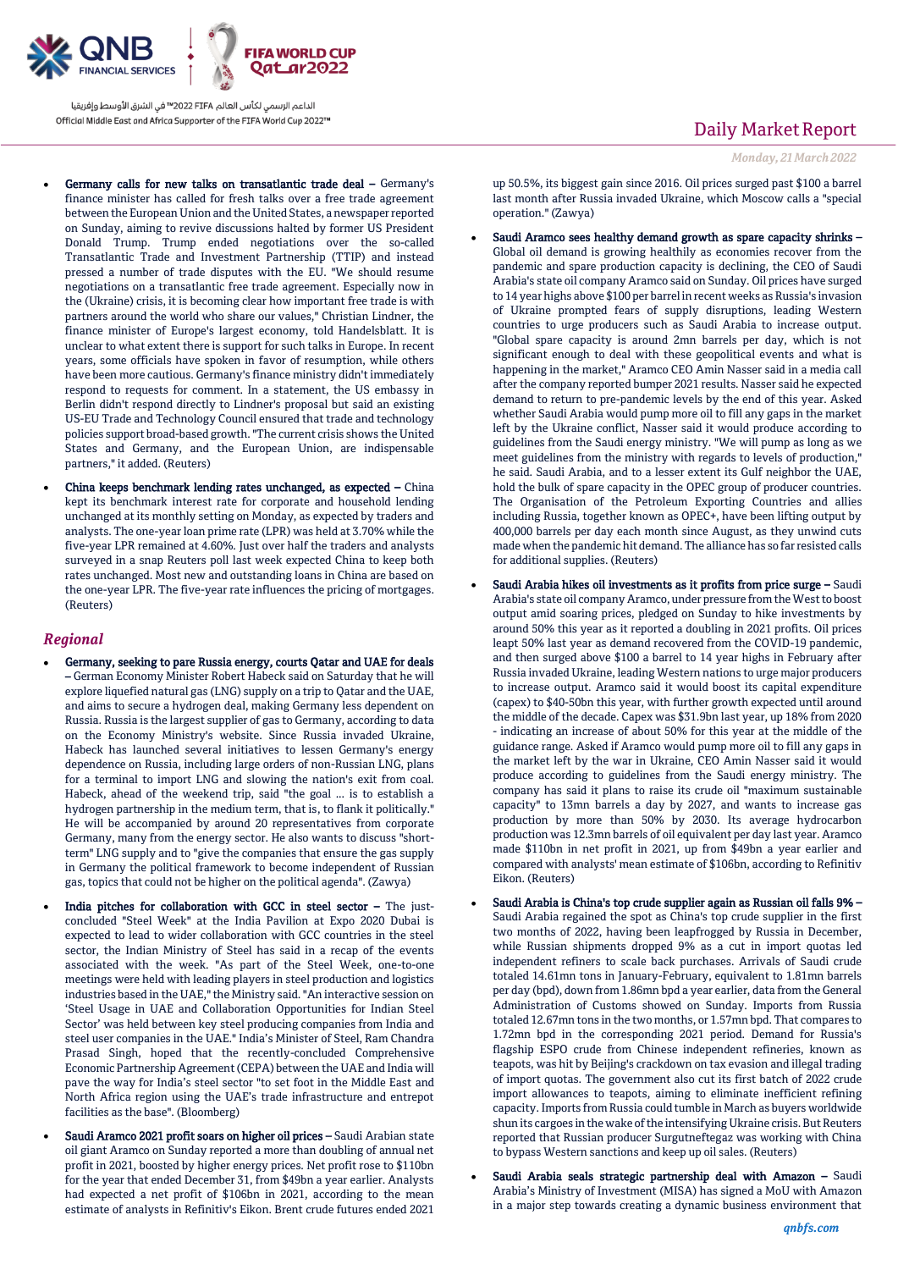

- Germany calls for new talks on transatlantic trade deal Germany's finance minister has called for fresh talks over a free trade agreement between the European Union and the United States, a newspaper reported on Sunday, aiming to revive discussions halted by former US President Donald Trump. Trump ended negotiations over the so-called Transatlantic Trade and Investment Partnership (TTIP) and instead pressed a number of trade disputes with the EU. "We should resume negotiations on a transatlantic free trade agreement. Especially now in the (Ukraine) crisis, it is becoming clear how important free trade is with partners around the world who share our values," Christian Lindner, the finance minister of Europe's largest economy, told Handelsblatt. It is unclear to what extent there is support for such talks in Europe. In recent years, some officials have spoken in favor of resumption, while others have been more cautious. Germany's finance ministry didn't immediately respond to requests for comment. In a statement, the US embassy in Berlin didn't respond directly to Lindner's proposal but said an existing US-EU Trade and Technology Council ensured that trade and technology policies support broad-based growth. "The current crisis shows the United States and Germany, and the European Union, are indispensable partners," it added. (Reuters)
- China keeps benchmark lending rates unchanged, as expected China kept its benchmark interest rate for corporate and household lending unchanged at its monthly setting on Monday, as expected by traders and analysts. The one-year loan prime rate (LPR) was held at 3.70% while the five-year LPR remained at 4.60%. Just over half the traders and analysts surveyed in a snap Reuters poll last week expected China to keep both rates unchanged. Most new and outstanding loans in China are based on the one-year LPR. The five-year rate influences the pricing of mortgages. (Reuters)

### *Regional*

- Germany, seeking to pare Russia energy, courts Qatar and UAE for deals – German Economy Minister Robert Habeck said on Saturday that he will explore liquefied natural gas (LNG) supply on a trip to Qatar and the UAE, and aims to secure a hydrogen deal, making Germany less dependent on Russia. Russia is the largest supplier of gas to Germany, according to data on the Economy Ministry's website. Since Russia invaded Ukraine, Habeck has launched several initiatives to lessen Germany's energy dependence on Russia, including large orders of non-Russian LNG, plans for a terminal to import LNG and slowing the nation's exit from coal. Habeck, ahead of the weekend trip, said "the goal ... is to establish a hydrogen partnership in the medium term, that is, to flank it politically." He will be accompanied by around 20 representatives from corporate Germany, many from the energy sector. He also wants to discuss "shortterm" LNG supply and to "give the companies that ensure the gas supply in Germany the political framework to become independent of Russian gas, topics that could not be higher on the political agenda". (Zawya)
- India pitches for collaboration with GCC in steel sector The justconcluded "Steel Week" at the India Pavilion at Expo 2020 Dubai is expected to lead to wider collaboration with GCC countries in the steel sector, the Indian Ministry of Steel has said in a recap of the events associated with the week. "As part of the Steel Week, one-to-one meetings were held with leading players in steel production and logistics industries based in the UAE," the Ministry said. "An interactive session on 'Steel Usage in UAE and Collaboration Opportunities for Indian Steel Sector' was held between key steel producing companies from India and steel user companies in the UAE." India's Minister of Steel, Ram Chandra Prasad Singh, hoped that the recently-concluded Comprehensive Economic Partnership Agreement (CEPA) between the UAE and India will pave the way for India's steel sector "to set foot in the Middle East and North Africa region using the UAE's trade infrastructure and entrepot facilities as the base". (Bloomberg)
- Saudi Aramco 2021 profit soars on higher oil prices Saudi Arabian state oil giant Aramco on Sunday reported a more than doubling of annual net profit in 2021, boosted by higher energy prices. Net profit rose to \$110bn for the year that ended December 31, from \$49bn a year earlier. Analysts had expected a net profit of \$106bn in 2021, according to the mean estimate of analysts in Refinitiv's Eikon. Brent crude futures ended 2021

# Daily Market Report

*Monday, 21March2022*

up 50.5%, its biggest gain since 2016. Oil prices surged past \$100 a barrel last month after Russia invaded Ukraine, which Moscow calls a "special operation." (Zawya)

- Saudi Aramco sees healthy demand growth as spare capacity shrinks Global oil demand is growing healthily as economies recover from the pandemic and spare production capacity is declining, the CEO of Saudi Arabia's state oil company Aramco said on Sunday. Oil prices have surged to 14 year highs above \$100 per barrel in recent weeks as Russia's invasion of Ukraine prompted fears of supply disruptions, leading Western countries to urge producers such as Saudi Arabia to increase output. "Global spare capacity is around 2mn barrels per day, which is not significant enough to deal with these geopolitical events and what is happening in the market," Aramco CEO Amin Nasser said in a media call after the company reported bumper 2021 results. Nasser said he expected demand to return to pre-pandemic levels by the end of this year. Asked whether Saudi Arabia would pump more oil to fill any gaps in the market left by the Ukraine conflict, Nasser said it would produce according to guidelines from the Saudi energy ministry. "We will pump as long as we meet guidelines from the ministry with regards to levels of production," he said. Saudi Arabia, and to a lesser extent its Gulf neighbor the UAE, hold the bulk of spare capacity in the OPEC group of producer countries. The Organisation of the Petroleum Exporting Countries and allies including Russia, together known as OPEC+, have been lifting output by 400,000 barrels per day each month since August, as they unwind cuts made when the pandemic hit demand. The alliance has so far resisted calls for additional supplies. (Reuters)
- Saudi Arabia hikes oil investments as it profits from price surge Saudi Arabia's state oil company Aramco, under pressure from the West to boost output amid soaring prices, pledged on Sunday to hike investments by around 50% this year as it reported a doubling in 2021 profits. Oil prices leapt 50% last year as demand recovered from the COVID-19 pandemic, and then surged above \$100 a barrel to 14 year highs in February after Russia invaded Ukraine, leading Western nations to urge major producers to increase output. Aramco said it would boost its capital expenditure (capex) to \$40-50bn this year, with further growth expected until around the middle of the decade. Capex was \$31.9bn last year, up 18% from 2020 - indicating an increase of about 50% for this year at the middle of the guidance range. Asked if Aramco would pump more oil to fill any gaps in the market left by the war in Ukraine, CEO Amin Nasser said it would produce according to guidelines from the Saudi energy ministry. The company has said it plans to raise its crude oil "maximum sustainable capacity" to 13mn barrels a day by 2027, and wants to increase gas production by more than 50% by 2030. Its average hydrocarbon production was 12.3mn barrels of oil equivalent per day last year. Aramco made \$110bn in net profit in 2021, up from \$49bn a year earlier and compared with analysts' mean estimate of \$106bn, according to Refinitiv Eikon. (Reuters)
- Saudi Arabia is China's top crude supplier again as Russian oil falls 9% Saudi Arabia regained the spot as China's top crude supplier in the first two months of 2022, having been leapfrogged by Russia in December, while Russian shipments dropped 9% as a cut in import quotas led independent refiners to scale back purchases. Arrivals of Saudi crude totaled 14.61mn tons in January-February, equivalent to 1.81mn barrels per day (bpd), down from 1.86mn bpd a year earlier, data from the General Administration of Customs showed on Sunday. Imports from Russia totaled 12.67mn tons in the two months, or 1.57mn bpd. That compares to 1.72mn bpd in the corresponding 2021 period. Demand for Russia's flagship ESPO crude from Chinese independent refineries, known as teapots, was hit by Beijing's crackdown on tax evasion and illegal trading of import quotas. The government also cut its first batch of 2022 crude import allowances to teapots, aiming to eliminate inefficient refining capacity. Imports from Russia could tumble in March as buyers worldwide shun its cargoes in the wake of the intensifying Ukraine crisis. But Reuters reported that Russian producer Surgutneftegaz was working with China to bypass Western sanctions and keep up oil sales. (Reuters)
- Saudi Arabia seals strategic partnership deal with Amazon Saudi Arabia's Ministry of Investment (MISA) has signed a MoU with Amazon in a major step towards creating a dynamic business environment that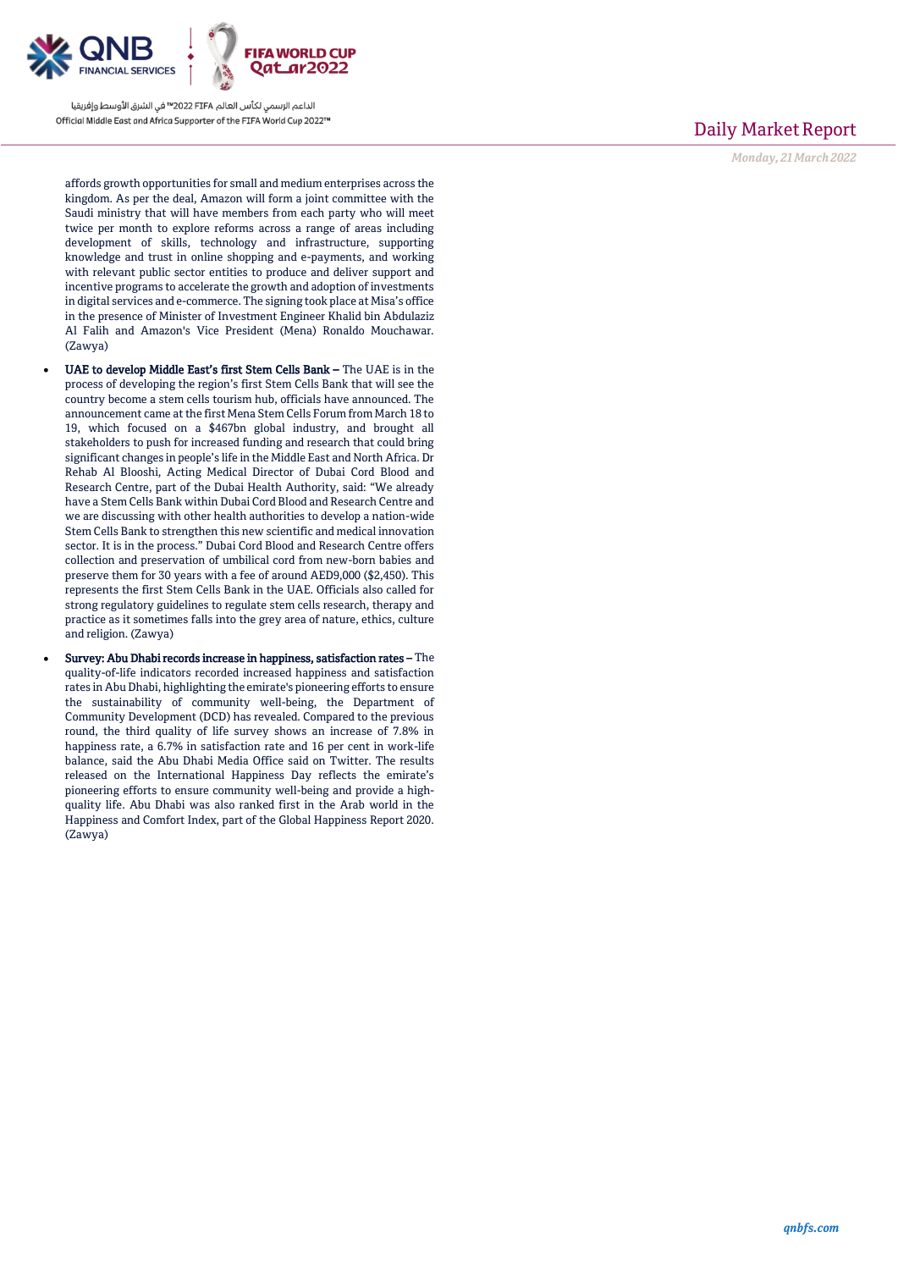

affords growth opportunities for small and medium enterprises across the kingdom. As per the deal, Amazon will form a joint committee with the Saudi ministry that will have members from each party who will meet twice per month to explore reforms across a range of areas including development of skills, technology and infrastructure, supporting knowledge and trust in online shopping and e-payments, and working with relevant public sector entities to produce and deliver support and incentive programs to accelerate the growth and adoption of investments in digital services and e-commerce. The signing took place at Misa's office in the presence of Minister of Investment Engineer Khalid bin Abdulaziz Al Falih and Amazon's Vice President (Mena) Ronaldo Mouchawar. (Zawya)

- UAE to develop Middle East's first Stem Cells Bank The UAE is in the process of developing the region's first Stem Cells Bank that will see the country become a stem cells tourism hub, officials have announced. The announcement came at the first Mena Stem Cells Forum from March 18 to 19, which focused on a \$467bn global industry, and brought all stakeholders to push for increased funding and research that could bring significant changes in people's life in the Middle East and North Africa. Dr Rehab Al Blooshi, Acting Medical Director of Dubai Cord Blood and Research Centre, part of the Dubai Health Authority, said: "We already have a Stem Cells Bank within Dubai Cord Blood and Research Centre and we are discussing with other health authorities to develop a nation-wide Stem Cells Bank to strengthen this new scientific and medical innovation sector. It is in the process." Dubai Cord Blood and Research Centre offers collection and preservation of umbilical cord from new-born babies and preserve them for 30 years with a fee of around AED9,000 (\$2,450). This represents the first Stem Cells Bank in the UAE. Officials also called for strong regulatory guidelines to regulate stem cells research, therapy and practice as it sometimes falls into the grey area of nature, ethics, culture and religion. (Zawya)
- Survey: Abu Dhabi records increase in happiness, satisfaction rates The quality-of-life indicators recorded increased happiness and satisfaction rates in Abu Dhabi, highlighting the emirate's pioneering efforts to ensure the sustainability of community well-being, the Department of Community Development (DCD) has revealed. Compared to the previous round, the third quality of life survey shows an increase of 7.8% in happiness rate, a 6.7% in satisfaction rate and 16 per cent in work-life balance, said the Abu Dhabi Media Office said on Twitter. The results released on the International Happiness Day reflects the emirate's pioneering efforts to ensure community well-being and provide a highquality life. Abu Dhabi was also ranked first in the Arab world in the Happiness and Comfort Index, part of the Global Happiness Report 2020. (Zawya)

# Daily Market Report

*Monday, 21March2022*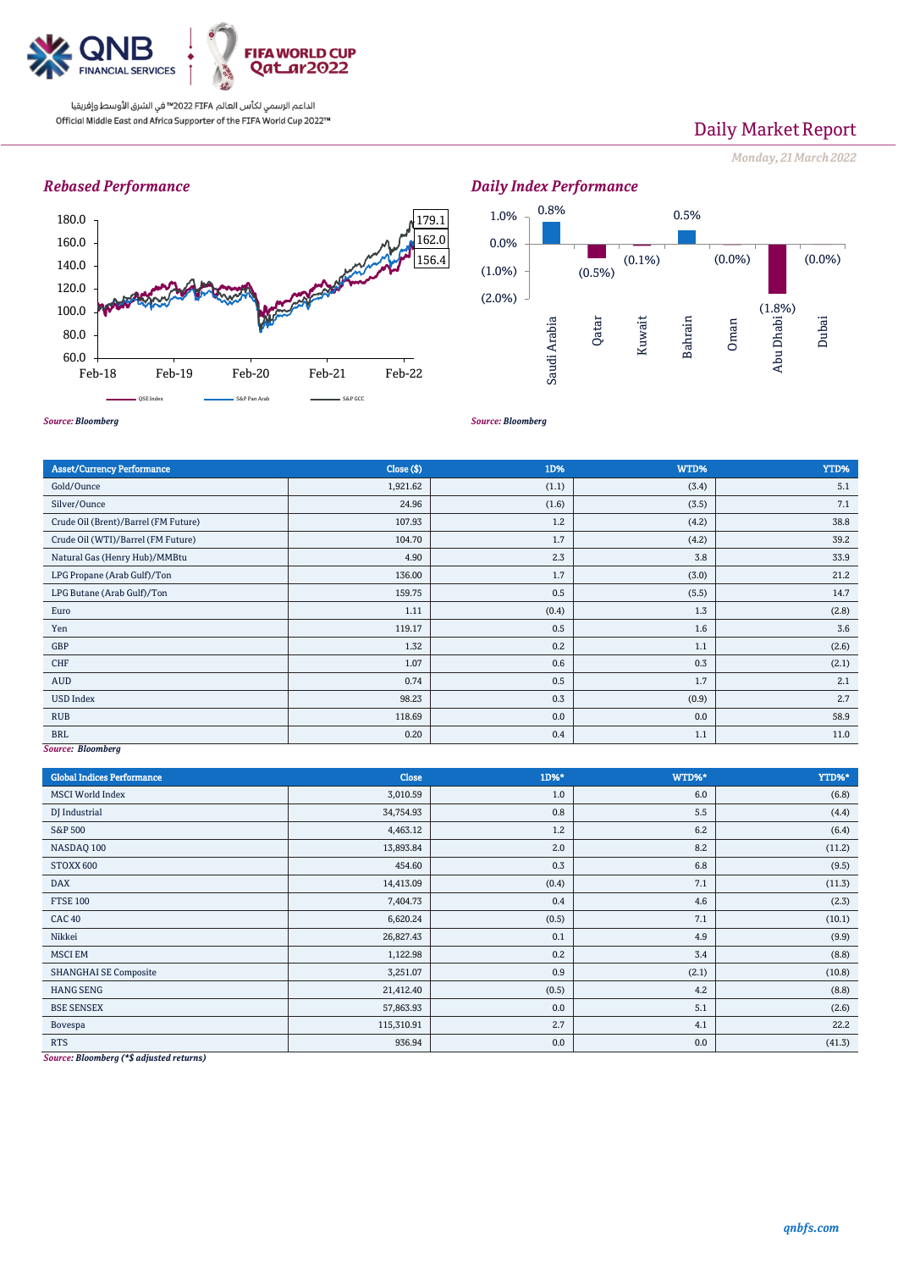

# Daily Market Report

*Monday, 21March2022*

## *Rebased Performance*





*Source: Bloomberg*

*Source: Bloomberg*

| <b>Asset/Currency Performance</b>    | Close ( \$) | 1D%   | WTD%  | YTD%  |  |  |  |
|--------------------------------------|-------------|-------|-------|-------|--|--|--|
| Gold/Ounce                           | 1,921.62    | (1.1) | (3.4) | 5.1   |  |  |  |
| Silver/Ounce                         | 24.96       | (1.6) | (3.5) | 7.1   |  |  |  |
| Crude Oil (Brent)/Barrel (FM Future) | 107.93      | 1.2   | (4.2) | 38.8  |  |  |  |
| Crude Oil (WTI)/Barrel (FM Future)   | 104.70      | 1.7   | (4.2) | 39.2  |  |  |  |
| Natural Gas (Henry Hub)/MMBtu        | 4.90        | 2.3   | 3.8   | 33.9  |  |  |  |
| LPG Propane (Arab Gulf)/Ton          | 136.00      | 1.7   | (3.0) | 21.2  |  |  |  |
| LPG Butane (Arab Gulf)/Ton           | 159.75      | 0.5   | (5.5) | 14.7  |  |  |  |
| Euro                                 | 1.11        | (0.4) | 1.3   | (2.8) |  |  |  |
| Yen                                  | 119.17      | 0.5   | 1.6   | 3.6   |  |  |  |
| GBP                                  | 1.32        | 0.2   | 1.1   | (2.6) |  |  |  |
| <b>CHF</b>                           | 1.07        | 0.6   | 0.3   | (2.1) |  |  |  |
| AUD                                  | 0.74        | 0.5   | 1.7   | 2.1   |  |  |  |
| <b>USD Index</b>                     | 98.23       | 0.3   | (0.9) | 2.7   |  |  |  |
| <b>RUB</b>                           | 118.69      | 0.0   | 0.0   | 58.9  |  |  |  |
| <b>BRL</b>                           | 0.20        | 0.4   | 1.1   | 11.0  |  |  |  |
| Course Plaamberg                     |             |       |       |       |  |  |  |

*Source: Bloomberg*

| <b>Global Indices Performance</b> | Close      | 1D%*  | WTD%* | YTD%*  |
|-----------------------------------|------------|-------|-------|--------|
| <b>MSCI</b> World Index           | 3,010.59   | 1.0   | 6.0   | (6.8)  |
| DJ Industrial                     | 34,754.93  | 0.8   | 5.5   | (4.4)  |
| S&P 500                           | 4,463.12   | 1.2   | 6.2   | (6.4)  |
| NASDAQ 100                        | 13,893.84  | 2.0   | 8.2   | (11.2) |
| STOXX 600                         | 454.60     | 0.3   | 6.8   | (9.5)  |
| <b>DAX</b>                        | 14,413.09  | (0.4) | 7.1   | (11.3) |
| <b>FTSE 100</b>                   | 7,404.73   | 0.4   | 4.6   | (2.3)  |
| <b>CAC 40</b>                     | 6,620.24   | (0.5) | 7.1   | (10.1) |
| Nikkei                            | 26,827.43  | 0.1   | 4.9   | (9.9)  |
| <b>MSCI EM</b>                    | 1,122.98   | 0.2   | 3.4   | (8.8)  |
| <b>SHANGHAI SE Composite</b>      | 3,251.07   | 0.9   | (2.1) | (10.8) |
| <b>HANG SENG</b>                  | 21,412.40  | (0.5) | 4.2   | (8.8)  |
| <b>BSE SENSEX</b>                 | 57,863.93  | 0.0   | 5.1   | (2.6)  |
| Bovespa                           | 115,310.91 | 2.7   | 4.1   | 22.2   |
| <b>RTS</b>                        | 936.94     | 0.0   | 0.0   | (41.3) |

*Source: Bloomberg (\*\$ adjusted returns)*